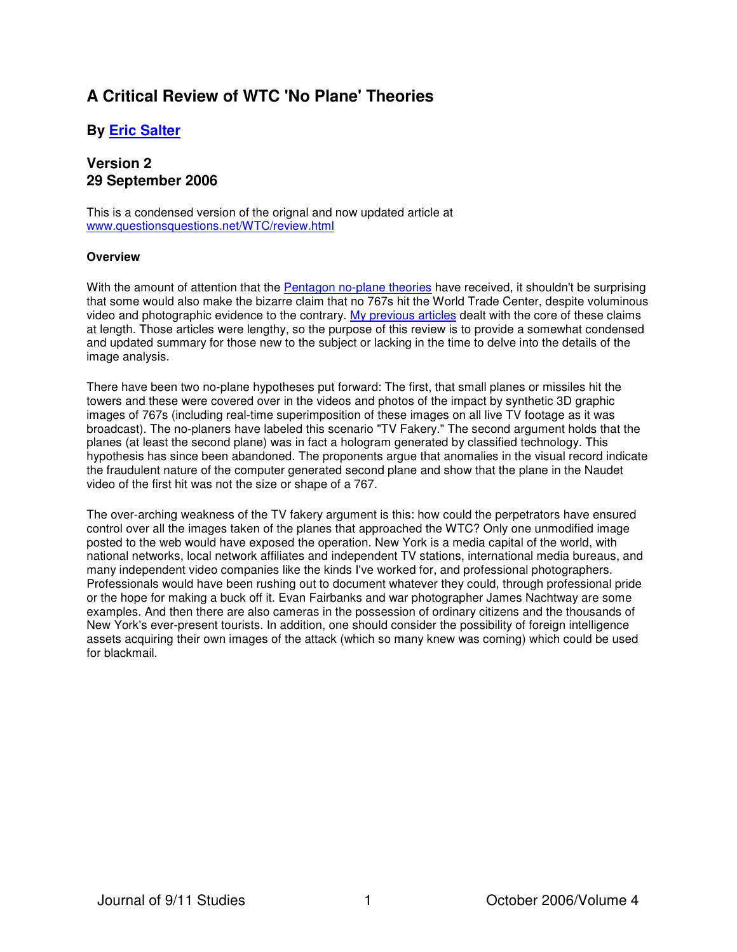# **A Critical Review of WTC 'No Plane' Theories**

## **By [Eric Salter](mailto:esalter1@mindspring.com)**

## **Version 2 29 September 2006**

This is a condensed version of the orignal and now updated article at www.questionsquestions.net/WTC/review.html

## **Overview**

With the amount of attention that the [Pentagon no-plane theories](http://911research.wtc7.net/essays/pentagontrap.html) have received, it shouldn't be surprising that some would also make the bizarre claim that no 767s hit the World Trade Center, despite voluminous video and photographic evidence to the contrary. [My previous articles](http://www.questionsquestions.net/infowar.html) dealt with the core of these claims at length. Those articles were lengthy, so the purpose of this review is to provide a somewhat condensed and updated summary for those new to the subject or lacking in the time to delve into the details of the image analysis.

There have been two no-plane hypotheses put forward: The first, that small planes or missiles hit the towers and these were covered over in the videos and photos of the impact by synthetic 3D graphic images of 767s (including real-time superimposition of these images on all live TV footage as it was broadcast). The no-planers have labeled this scenario "TV Fakery." The second argument holds that the planes (at least the second plane) was in fact a hologram generated by classified technology. This hypothesis has since been abandoned. The proponents argue that anomalies in the visual record indicate the fraudulent nature of the computer generated second plane and show that the plane in the Naudet video of the first hit was not the size or shape of a 767.

The over-arching weakness of the TV fakery argument is this: how could the perpetrators have ensured control over all the images taken of the planes that approached the WTC? Only one unmodified image posted to the web would have exposed the operation. New York is a media capital of the world, with national networks, local network affiliates and independent TV stations, international media bureaus, and many independent video companies like the kinds I've worked for, and professional photographers. Professionals would have been rushing out to document whatever they could, through professional pride or the hope for making a buck off it. Evan Fairbanks and war photographer James Nachtway are some examples. And then there are also cameras in the possession of ordinary citizens and the thousands of New York's ever-present tourists. In addition, one should consider the possibility of foreign intelligence assets acquiring their own images of the attack (which so many knew was coming) which could be used for blackmail.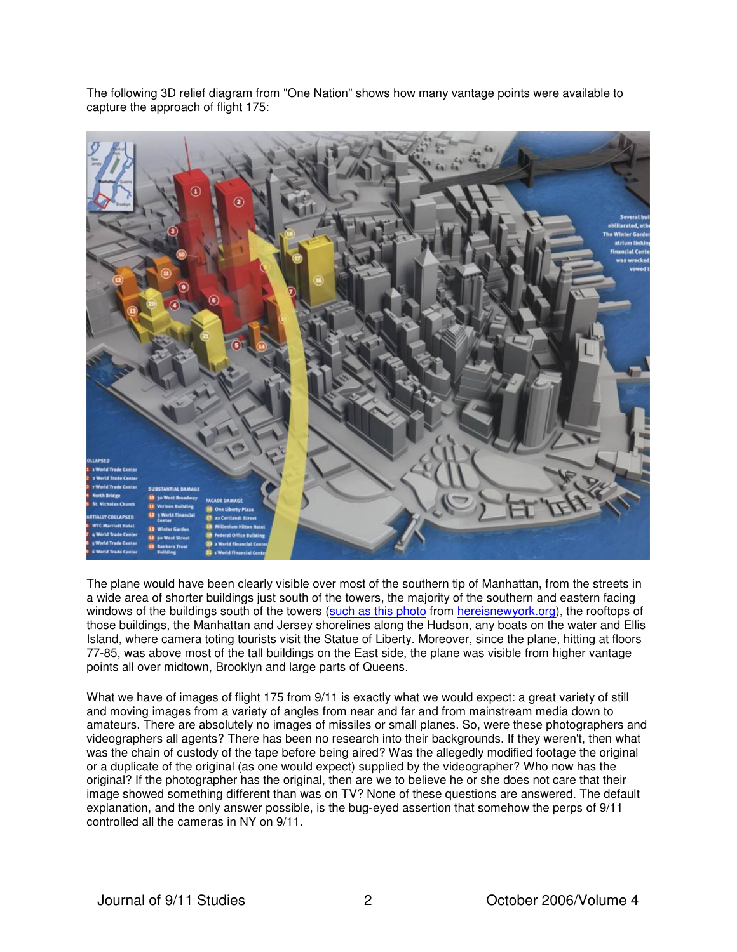The following 3D relief diagram from "One Nation" shows how many vantage points were available to capture the approach of flight 175:



The plane would have been clearly visible over most of the southern tip of Manhattan, from the streets in a wide area of shorter buildings just south of the towers, the majority of the southern and eastern facing windows of the buildings south of the towers ([such as this photo](http://www.questionsquestions.net/WTC/summaryimages/6236.jpg) from [hereisnewyork.org\)](http://hereisnewyork.org/index2.asp), the rooftops of those buildings, the Manhattan and Jersey shorelines along the Hudson, any boats on the water and Ellis Island, where camera toting tourists visit the Statue of Liberty. Moreover, since the plane, hitting at floors 77-85, was above most of the tall buildings on the East side, the plane was visible from higher vantage points all over midtown, Brooklyn and large parts of Queens.

What we have of images of flight 175 from 9/11 is exactly what we would expect: a great variety of still and moving images from a variety of angles from near and far and from mainstream media down to amateurs. There are absolutely no images of missiles or small planes. So, were these photographers and videographers all agents? There has been no research into their backgrounds. If they weren't, then what was the chain of custody of the tape before being aired? Was the allegedly modified footage the original or a duplicate of the original (as one would expect) supplied by the videographer? Who now has the original? If the photographer has the original, then are we to believe he or she does not care that their image showed something different than was on TV? None of these questions are answered. The default explanation, and the only answer possible, is the bug-eyed assertion that somehow the perps of 9/11 controlled all the cameras in NY on 9/11.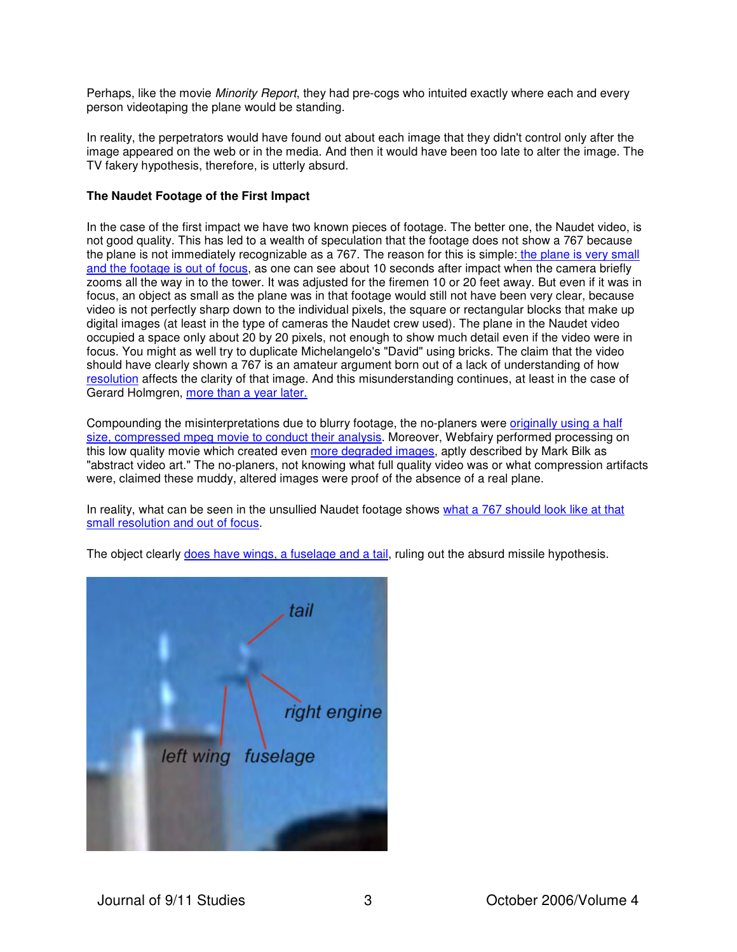Perhaps, like the movie Minority Report, they had pre-cogs who intuited exactly where each and every person videotaping the plane would be standing.

In reality, the perpetrators would have found out about each image that they didn't control only after the image appeared on the web or in the media. And then it would have been too late to alter the image. The TV fakery hypothesis, therefore, is utterly absurd.

### **The Naudet Footage of the First Impact**

In the case of the first impact we have two known pieces of footage. The better one, the Naudet video, is not good quality. This has led to a wealth of speculation that the footage does not show a 767 because the plane is not immediately recognizable as a 767. The reason for this is simple: the plane is very small [and the footage is out of focus, as one can see about 10 seconds after impact when the camera briefly](http://www.questionsquestions.net/WTC/767orwhatzit.html#blur)  zooms all the way in to the tower. It was adjusted for the firemen 10 or 20 feet away. But even if it was in focus, an object as small as the plane was in that footage would still not have been very clear, because video is not perfectly sharp down to the individual pixels, the square or rectangular blocks that make up digital images (at least in the type of cameras the Naudet crew used). The plane in the Naudet video occupied a space only about 20 by 20 pixels, not enough to show much detail even if the video were in focus. You might as well try to duplicate Michelangelo's "David" using bricks. The claim that the video should have clearly shown a 767 is an amateur argument born out of a lack of understanding of how [resolution](http://www.questionsquestions.net/WTC/767orwhatzit.html#resolution) affects the clarity of that image. And this misunderstanding continues, at least in the case of Gerard Holmgren, [more than a year later.](http://www.questionsquestions.net/WTC/767orwhatzit.html#holmgrenplane)

[Compounding the misinterpretations due to blurry footage, the no-planers were originally using a half](http://www.questionsquestions.net/WTC/767orwhatzit.html#taner) size, compressed mpeg movie to conduct their analysis. Moreover, Webfairy performed processing on this low quality movie which created even [more degraded images](http://www.questionsquestions.net/WTC/767orwhatzit.html#webfairytaner), aptly described by Mark Bilk as "abstract video art." The no-planers, not knowing what full quality video was or what compression artifacts were, claimed these muddy, altered images were proof of the absence of a real plane.

[In reality, what can be seen in the unsullied Naudet footage shows what a 767 should look like at that](http://www.questionsquestions.net/WTC/767orwhatzit.html#holmgrenplane)  small resolution and out of focus.

The object clearly [does have wings, a fuselage and a tail,](http://www.questionsquestions.net/WTC/WTC767images/planeanalysis2.jpg) ruling out the absurd missile hypothesis.

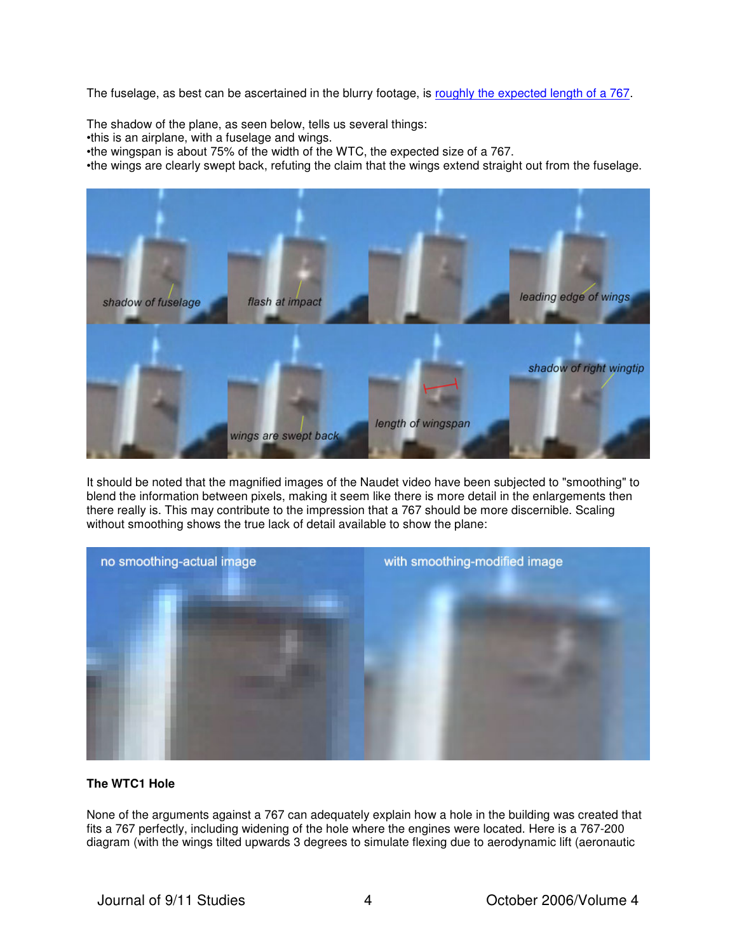The fuselage, as best can be ascertained in the blurry footage, is [roughly the expected length of a 767](http://www.questionsquestions.net/WTC/WTC767images/length2.jpg).

The shadow of the plane, as seen below, tells us several things:

•this is an airplane, with a fuselage and wings.

•the wingspan is about 75% of the width of the WTC, the expected size of a 767.

•the wings are clearly swept back, refuting the claim that the wings extend straight out from the fuselage.



It should be noted that the magnified images of the Naudet video have been subjected to "smoothing" to blend the information between pixels, making it seem like there is more detail in the enlargements then there really is. This may contribute to the impression that a 767 should be more discernible. Scaling without smoothing shows the true lack of detail available to show the plane:



## **The WTC1 Hole**

None of the arguments against a 767 can adequately explain how a hole in the building was created that fits a 767 perfectly, including widening of the hole where the engines were located. Here is a 767-200 diagram (with the wings tilted upwards 3 degrees to simulate flexing due to aerodynamic lift (aeronautic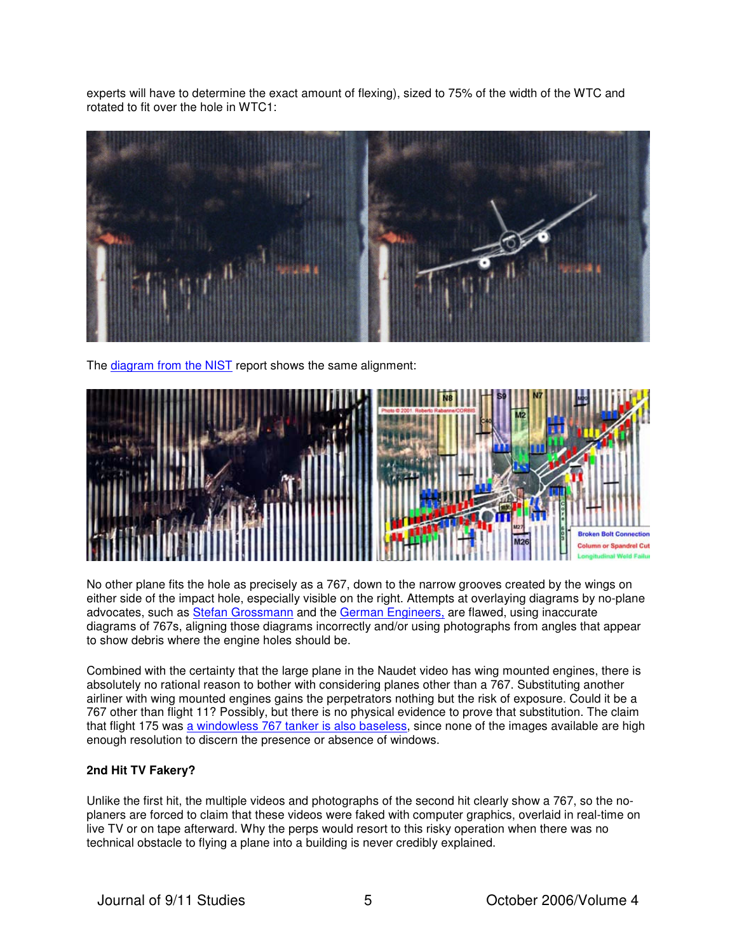experts will have to determine the exact amount of flexing), sized to 75% of the width of the WTC and rotated to fit over the hole in WTC1:



The [diagram from the NIST](http://www.questionsquestions.net/WTC/summaryimages/nistwtc1hole.jpg) report shows the same alignment:



No other plane fits the hole as precisely as a 767, down to the narrow grooves created by the wings on either side of the impact hole, especially visible on the right. Attempts at overlaying diagrams by no-plane advocates, such as [Stefan Grossmann](http://www.gallerize.com/9-11_Hole_Science.htm) and the [German Engineers,](http://home.debitel.net/user/andreas.bunkahle/jpg/Plate28.JPG) are flawed, using inaccurate diagrams of 767s, aligning those diagrams incorrectly and/or using photographs from angles that appear to show debris where the engine holes should be.

Combined with the certainty that the large plane in the Naudet video has wing mounted engines, there is absolutely no rational reason to bother with considering planes other than a 767. Substituting another airliner with wing mounted engines gains the perpetrators nothing but the risk of exposure. Could it be a 767 other than flight 11? Possibly, but there is no physical evidence to prove that substitution. The claim that flight 175 was [a windowless 767 tanker is also baseless](http://www.questionsquestions.net/WTC/pod.html#cargo), since none of the images available are high enough resolution to discern the presence or absence of windows.

## **2nd Hit TV Fakery?**

Unlike the first hit, the multiple videos and photographs of the second hit clearly show a 767, so the noplaners are forced to claim that these videos were faked with computer graphics, overlaid in real-time on live TV or on tape afterward. Why the perps would resort to this risky operation when there was no technical obstacle to flying a plane into a building is never credibly explained.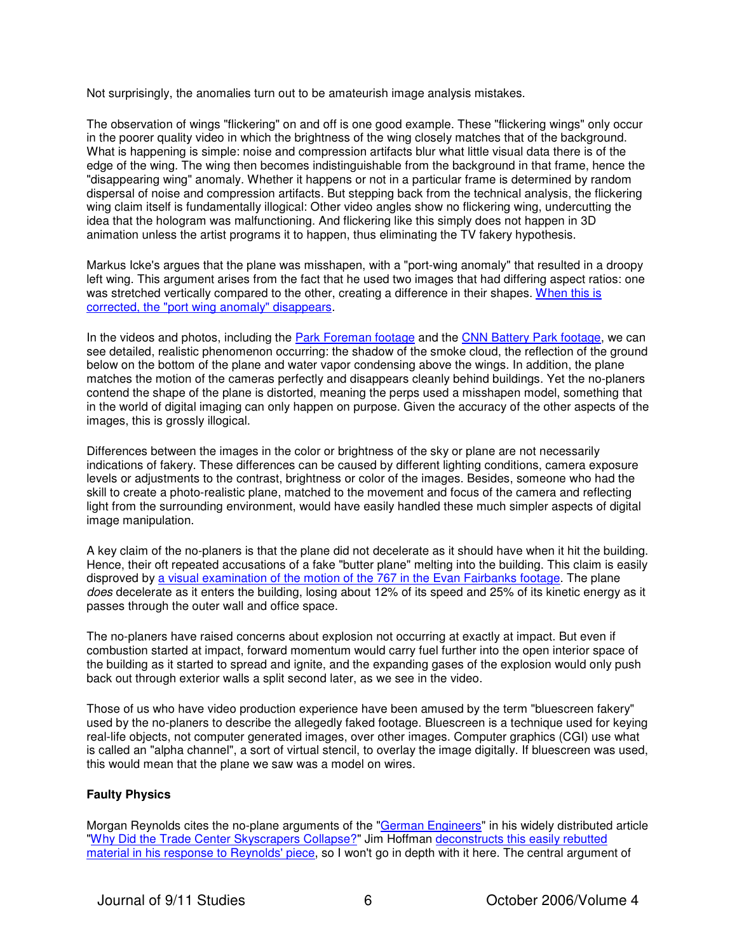Not surprisingly, the anomalies turn out to be amateurish image analysis mistakes.

The observation of wings "flickering" on and off is one good example. These "flickering wings" only occur in the poorer quality video in which the brightness of the wing closely matches that of the background. What is happening is simple: noise and compression artifacts blur what little visual data there is of the edge of the wing. The wing then becomes indistinguishable from the background in that frame, hence the "disappearing wing" anomaly. Whether it happens or not in a particular frame is determined by random dispersal of noise and compression artifacts. But stepping back from the technical analysis, the flickering wing claim itself is fundamentally illogical: Other video angles show no flickering wing, undercutting the idea that the hologram was malfunctioning. And flickering like this simply does not happen in 3D animation unless the artist programs it to happen, thus eliminating the TV fakery hypothesis.

Markus Icke's argues that the plane was misshapen, with a "port-wing anomaly" that resulted in a droopy left wing. This argument arises from the fact that he used two images that had differing aspect ratios: one [was stretched vertically compared to the other, creating a difference in their shapes. When this is](http://www.questionsquestions.net/WTC/pod.html#addendumD)  corrected, the "port wing anomaly" disappears.

In the videos and photos, including the [Park Foreman footage](http://www.questionsquestions.net/WTC/WTC767images/WTCforemanzoom.mov) and the [CNN Battery Park footage](http://www.questionsquestions.net/WTC/WTC767images/2ndhitCNNcropped.mov), we can see detailed, realistic phenomenon occurring: the shadow of the smoke cloud, the reflection of the ground below on the bottom of the plane and water vapor condensing above the wings. In addition, the plane matches the motion of the cameras perfectly and disappears cleanly behind buildings. Yet the no-planers contend the shape of the plane is distorted, meaning the perps used a misshapen model, something that in the world of digital imaging can only happen on purpose. Given the accuracy of the other aspects of the images, this is grossly illogical.

Differences between the images in the color or brightness of the sky or plane are not necessarily indications of fakery. These differences can be caused by different lighting conditions, camera exposure levels or adjustments to the contrast, brightness or color of the images. Besides, someone who had the skill to create a photo-realistic plane, matched to the movement and focus of the camera and reflecting light from the surrounding environment, would have easily handled these much simpler aspects of digital image manipulation.

A key claim of the no-planers is that the plane did not decelerate as it should have when it hit the building. Hence, their oft repeated accusations of a fake "butter plane" melting into the building. This claim is easily disproved by [a visual examination of the motion of the 767 in the Evan Fairbanks footage](http://www.questionsquestions.net/WTC/175speed.html). The plane does decelerate as it enters the building, losing about 12% of its speed and 25% of its kinetic energy as it passes through the outer wall and office space.

The no-planers have raised concerns about explosion not occurring at exactly at impact. But even if combustion started at impact, forward momentum would carry fuel further into the open interior space of the building as it started to spread and ignite, and the expanding gases of the explosion would only push back out through exterior walls a split second later, as we see in the video.

Those of us who have video production experience have been amused by the term "bluescreen fakery" used by the no-planers to describe the allegedly faked footage. Bluescreen is a technique used for keying real-life objects, not computer generated images, over other images. Computer graphics (CGI) use what is called an "alpha channel", a sort of virtual stencil, to overlay the image digitally. If bluescreen was used, this would mean that the plane we saw was a model on wires.

## **Faulty Physics**

Morgan Reynolds cites the no-plane arguments of the ["German Engineers"](http://home.debitel.net/user/andreas.bunkahle/defaulte.htm) in his widely distributed article ["](http://911research.wtc7.net/essays/reynolds/)[Why Did the Trade Center Skyscrapers Collapse?](http://www.lewrockwell.com/reynolds/reynolds12.html)" Jim Hoffman deconstructs this easily rebutted material in his response to Reynolds' piece, so I won't go in depth with it here. The central argument of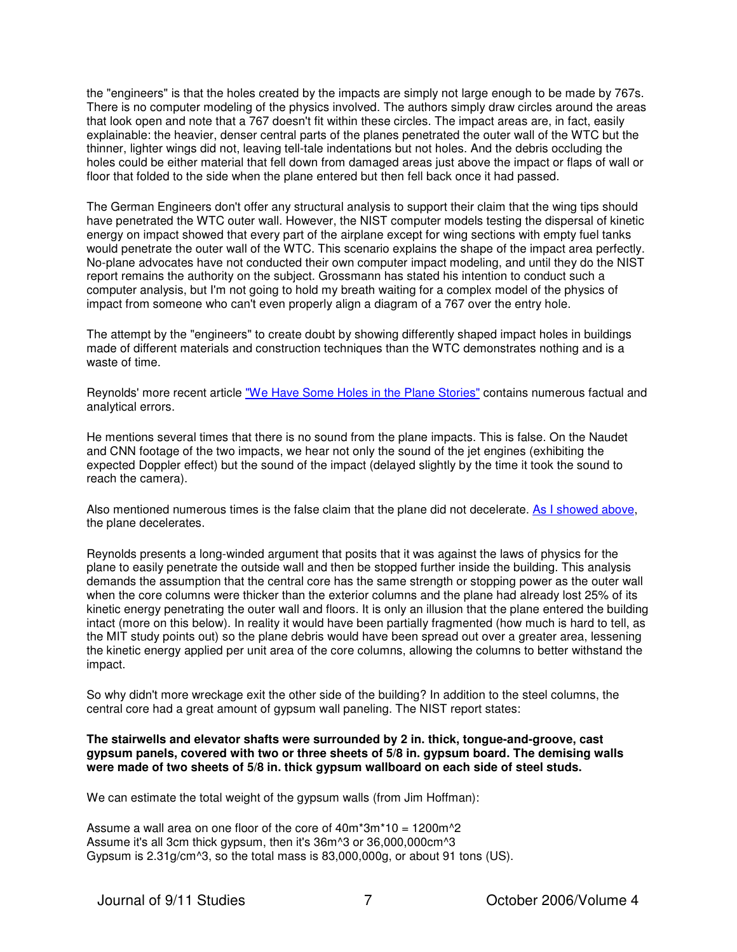the "engineers" is that the holes created by the impacts are simply not large enough to be made by 767s. There is no computer modeling of the physics involved. The authors simply draw circles around the areas that look open and note that a 767 doesn't fit within these circles. The impact areas are, in fact, easily explainable: the heavier, denser central parts of the planes penetrated the outer wall of the WTC but the thinner, lighter wings did not, leaving tell-tale indentations but not holes. And the debris occluding the holes could be either material that fell down from damaged areas just above the impact or flaps of wall or floor that folded to the side when the plane entered but then fell back once it had passed.

The German Engineers don't offer any structural analysis to support their claim that the wing tips should have penetrated the WTC outer wall. However, the NIST computer models testing the dispersal of kinetic energy on impact showed that every part of the airplane except for wing sections with empty fuel tanks would penetrate the outer wall of the WTC. This scenario explains the shape of the impact area perfectly. No-plane advocates have not conducted their own computer impact modeling, and until they do the NIST report remains the authority on the subject. Grossmann has stated his intention to conduct such a computer analysis, but I'm not going to hold my breath waiting for a complex model of the physics of impact from someone who can't even properly align a diagram of a 767 over the entry hole.

The attempt by the "engineers" to create doubt by showing differently shaped impact holes in buildings made of different materials and construction techniques than the WTC demonstrates nothing and is a waste of time.

Reynolds' more recent article ["We Have Some Holes in the Plane Stories](http://www.nomoregames.net/index.php?page=911&subpage1=we_have_holes)" contains numerous factual and analytical errors.

He mentions several times that there is no sound from the plane impacts. This is false. On the Naudet and CNN footage of the two impacts, we hear not only the sound of the jet engines (exhibiting the expected Doppler effect) but the sound of the impact (delayed slightly by the time it took the sound to reach the camera).

Also mentioned numerous times is the false claim that the plane did not decelerate. [As I showed above](http://www.questionsquestions.net/WTC/175speed.html), the plane decelerates.

Reynolds presents a long-winded argument that posits that it was against the laws of physics for the plane to easily penetrate the outside wall and then be stopped further inside the building. This analysis demands the assumption that the central core has the same strength or stopping power as the outer wall when the core columns were thicker than the exterior columns and the plane had already lost 25% of its kinetic energy penetrating the outer wall and floors. It is only an illusion that the plane entered the building intact (more on this below). In reality it would have been partially fragmented (how much is hard to tell, as the MIT study points out) so the plane debris would have been spread out over a greater area, lessening the kinetic energy applied per unit area of the core columns, allowing the columns to better withstand the impact.

So why didn't more wreckage exit the other side of the building? In addition to the steel columns, the central core had a great amount of gypsum wall paneling. The NIST report states:

**The stairwells and elevator shafts were surrounded by 2 in. thick, tongue-and-groove, cast gypsum panels, covered with two or three sheets of 5/8 in. gypsum board. The demising walls were made of two sheets of 5/8 in. thick gypsum wallboard on each side of steel studs.**

We can estimate the total weight of the gypsum walls (from Jim Hoffman):

Assume a wall area on one floor of the core of 40m\*3m\*10 = 1200m^2 Assume it's all 3cm thick gypsum, then it's 36m^3 or 36,000,000cm^3 Gypsum is 2.31g/cm^3, so the total mass is 83,000,000g, or about 91 tons (US).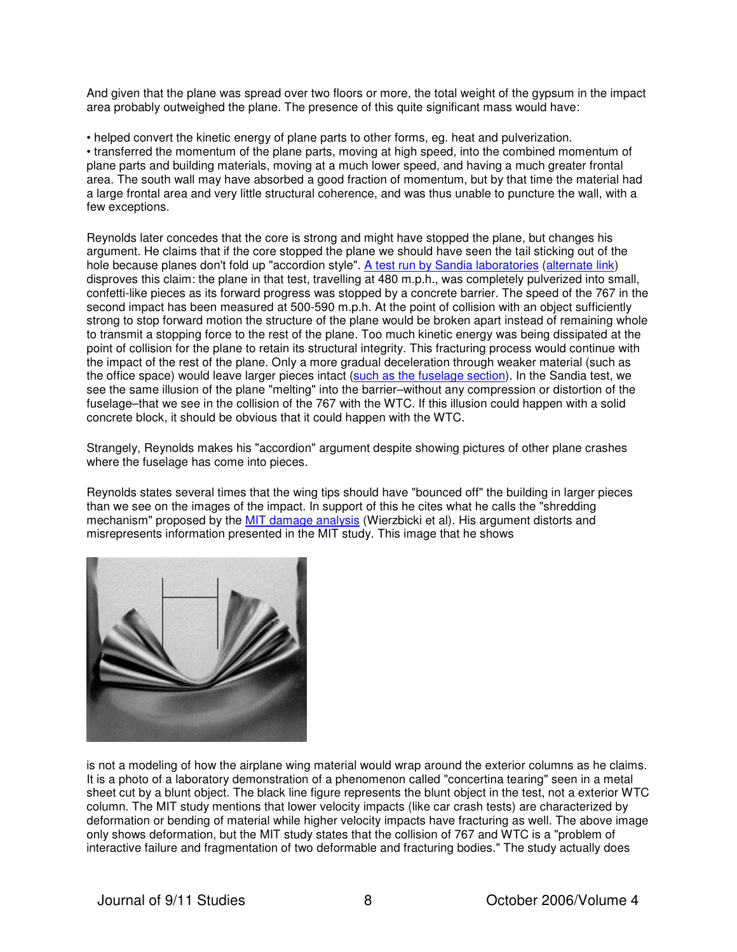And given that the plane was spread over two floors or more, the total weight of the gypsum in the impact area probably outweighed the plane. The presence of this quite significant mass would have:

• helped convert the kinetic energy of plane parts to other forms, eg. heat and pulverization. • transferred the momentum of the plane parts, moving at high speed, into the combined momentum of plane parts and building materials, moving at a much lower speed, and having a much greater frontal area. The south wall may have absorbed a good fraction of momentum, but by that time the material had a large frontal area and very little structural coherence, and was thus unable to puncture the wall, with a few exceptions.

Reynolds later concedes that the core is strong and might have stopped the plane, but changes his argument. He claims that if the core stopped the plane we should have seen the tail sticking out of the hole because planes don't fold up "accordion style". [A test run by Sandia laboratories](http://911review.com/errors/pentagon/crashdebris.html) ([alternate link\)](http://www.jokaroo.com/extremevideos/plane_vs_wall.html) disproves this claim: the plane in that test, travelling at 480 m.p.h., was completely pulverized into small, confetti-like pieces as its forward progress was stopped by a concrete barrier. The speed of the 767 in the second impact has been measured at 500-590 m.p.h. At the point of collision with an object sufficiently strong to stop forward motion the structure of the plane would be broken apart instead of remaining whole to transmit a stopping force to the rest of the plane. Too much kinetic energy was being dissipated at the point of collision for the plane to retain its structural integrity. This fracturing process would continue with the impact of the rest of the plane. Only a more gradual deceleration through weaker material (such as the office space) would leave larger pieces intact ([such as the fuselage section\)](http://www.questionsquestions.net/WTC/WTC767images/fuselage.jpg). In the Sandia test, we see the same illusion of the plane "melting" into the barrier–without any compression or distortion of the fuselage–that we see in the collision of the 767 with the WTC. If this illusion could happen with a solid concrete block, it should be obvious that it could happen with the WTC.

Strangely, Reynolds makes his "accordion" argument despite showing pictures of other plane crashes where the fuselage has come into pieces.

Reynolds states several times that the wing tips should have "bounced off" the building in larger pieces than we see on the images of the impact. In support of this he cites what he calls the "shredding mechanism" proposed by the [MIT damage analysis](http://web.mit.edu/civenv/wtc/PDFfiles/Chapter%20IV%20Aircraft%20Impact.pdf) (Wierzbicki et al). His argument distorts and misrepresents information presented in the MIT study. This image that he shows



is not a modeling of how the airplane wing material would wrap around the exterior columns as he claims. It is a photo of a laboratory demonstration of a phenomenon called "concertina tearing" seen in a metal sheet cut by a blunt object. The black line figure represents the blunt object in the test, not a exterior WTC column. The MIT study mentions that lower velocity impacts (like car crash tests) are characterized by deformation or bending of material while higher velocity impacts have fracturing as well. The above image only shows deformation, but the MIT study states that the collision of 767 and WTC is a "problem of interactive failure and fragmentation of two deformable and fracturing bodies." The study actually does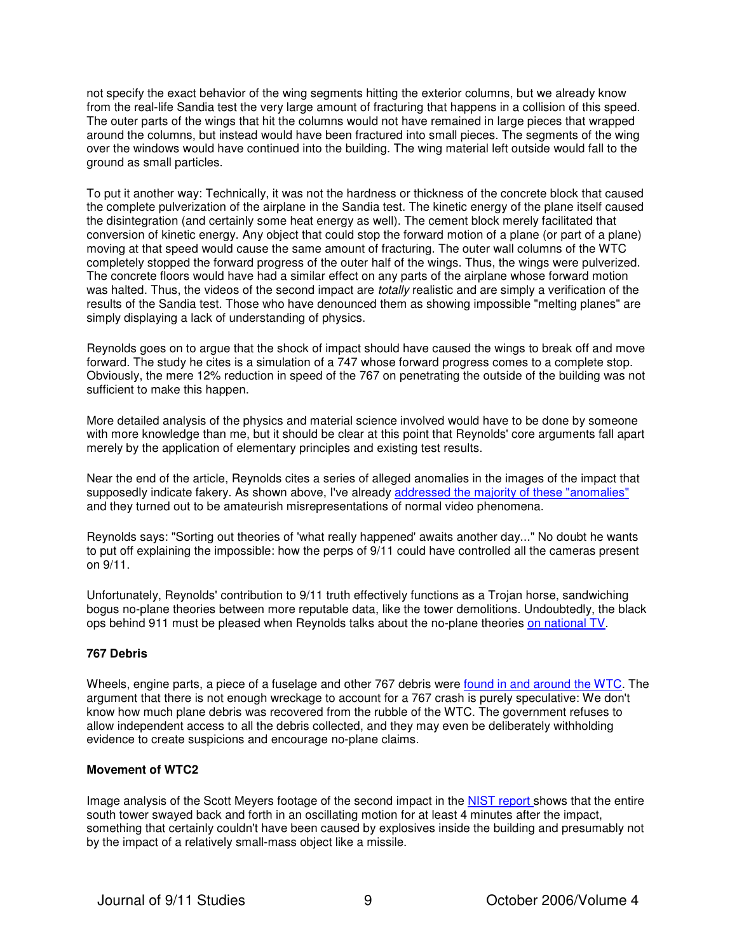not specify the exact behavior of the wing segments hitting the exterior columns, but we already know from the real-life Sandia test the very large amount of fracturing that happens in a collision of this speed. The outer parts of the wings that hit the columns would not have remained in large pieces that wrapped around the columns, but instead would have been fractured into small pieces. The segments of the wing over the windows would have continued into the building. The wing material left outside would fall to the ground as small particles.

To put it another way: Technically, it was not the hardness or thickness of the concrete block that caused the complete pulverization of the airplane in the Sandia test. The kinetic energy of the plane itself caused the disintegration (and certainly some heat energy as well). The cement block merely facilitated that conversion of kinetic energy. Any object that could stop the forward motion of a plane (or part of a plane) moving at that speed would cause the same amount of fracturing. The outer wall columns of the WTC completely stopped the forward progress of the outer half of the wings. Thus, the wings were pulverized. The concrete floors would have had a similar effect on any parts of the airplane whose forward motion was halted. Thus, the videos of the second impact are totally realistic and are simply a verification of the results of the Sandia test. Those who have denounced them as showing impossible "melting planes" are simply displaying a lack of understanding of physics.

Reynolds goes on to argue that the shock of impact should have caused the wings to break off and move forward. The study he cites is a simulation of a 747 whose forward progress comes to a complete stop. Obviously, the mere 12% reduction in speed of the 767 on penetrating the outside of the building was not sufficient to make this happen.

More detailed analysis of the physics and material science involved would have to be done by someone with more knowledge than me, but it should be clear at this point that Reynolds' core arguments fall apart merely by the application of elementary principles and existing test results.

Near the end of the article, Reynolds cites a series of alleged anomalies in the images of the impact that supposedly indicate fakery. As shown above, I've already [addressed the majority of these "anomalies"](http://www.questionsquestions.net/WTC/767orwhatzit.html) and they turned out to be amateurish misrepresentations of normal video phenomena.

Reynolds says: "Sorting out theories of 'what really happened' awaits another day..." No doubt he wants to put off explaining the impossible: how the perps of 9/11 could have controlled all the cameras present on 9/11.

Unfortunately, Reynolds' contribution to 9/11 truth effectively functions as a Trojan horse, sandwiching bogus no-plane theories between more reputable data, like the tower demolitions. Undoubtedly, the black ops behind 911 must be pleased when Reynolds talks about the no-plane theories [on national TV.](http://www.total911.info/2006/09/dr-reynolds-exposes-911-tv-fakery-on.html)

## **767 Debris**

Wheels, engine parts, a piece of a fuselage and other 767 debris were [found in and around the WTC.](http://www.questionsquestions.net/WTC/767orwhatzit.html#debris) The argument that there is not enough wreckage to account for a 767 crash is purely speculative: We don't know how much plane debris was recovered from the rubble of the WTC. The government refuses to allow independent access to all the debris collected, and they may even be deliberately withholding evidence to create suspicions and encourage no-plane claims.

#### **Movement of WTC2**

Image analysis of the Scott Meyers footage of the second impact in the [NIST report](http://wtc.nist.gov/progress_report_june04/appendixh.pdf) shows that the entire south tower swayed back and forth in an oscillating motion for at least 4 minutes after the impact, something that certainly couldn't have been caused by explosives inside the building and presumably not by the impact of a relatively small-mass object like a missile.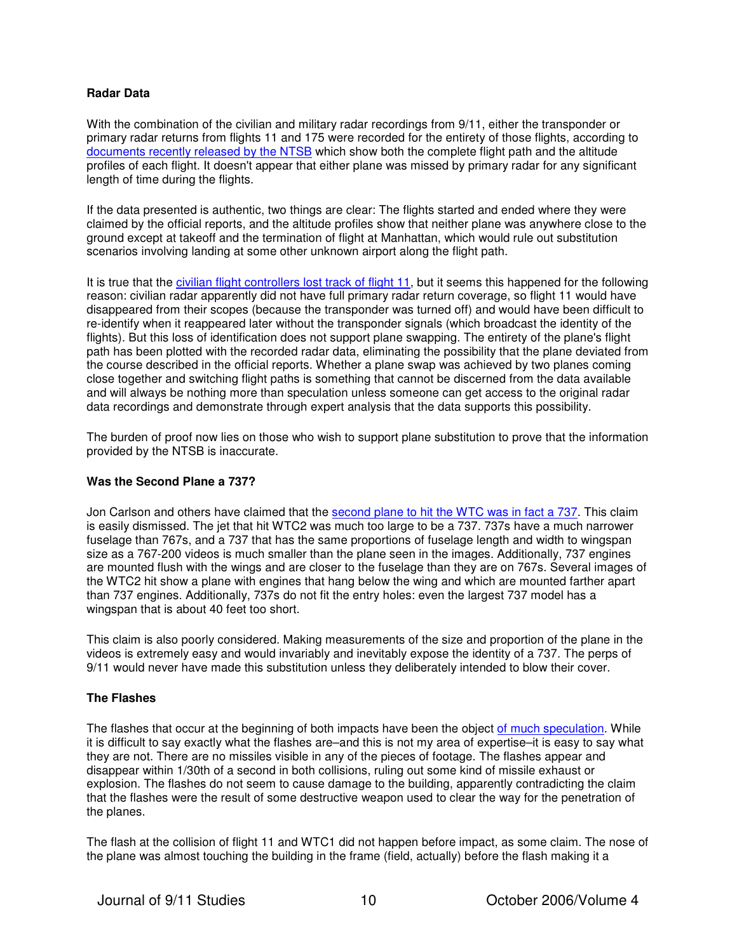## **Radar Data**

With the combination of the civilian and military radar recordings from 9/11, either the transponder or primary radar returns from flights 11 and 175 were recorded for the entirety of those flights, according to [documents recently released by the NTSB](http://911research.wtc7.net/planes/evidence/ntsb.html) which show both the complete flight path and the altitude profiles of each flight. It doesn't appear that either plane was missed by primary radar for any significant length of time during the flights.

If the data presented is authentic, two things are clear: The flights started and ended where they were claimed by the official reports, and the altitude profiles show that neither plane was anywhere close to the ground except at takeoff and the termination of flight at Manhattan, which would rule out substitution scenarios involving landing at some other unknown airport along the flight path.

It is true that the [civilian flight controllers lost track of flight 11](http://www.vanityfair.com/features/general/060801fege01), but it seems this happened for the following reason: civilian radar apparently did not have full primary radar return coverage, so flight 11 would have disappeared from their scopes (because the transponder was turned off) and would have been difficult to re-identify when it reappeared later without the transponder signals (which broadcast the identity of the flights). But this loss of identification does not support plane swapping. The entirety of the plane's flight path has been plotted with the recorded radar data, eliminating the possibility that the plane deviated from the course described in the official reports. Whether a plane swap was achieved by two planes coming close together and switching flight paths is something that cannot be discerned from the data available and will always be nothing more than speculation unless someone can get access to the original radar data recordings and demonstrate through expert analysis that the data supports this possibility.

The burden of proof now lies on those who wish to support plane substitution to prove that the information provided by the NTSB is inaccurate.

## **Was the Second Plane a 737?**

Jon Carlson and others have claimed that the [second plane to hit the WTC was in fact a 737.](http://www.rense.com/general65/911b.htm) This claim is easily dismissed. The jet that hit WTC2 was much too large to be a 737. 737s have a much narrower fuselage than 767s, and a 737 that has the same proportions of fuselage length and width to wingspan size as a 767-200 videos is much smaller than the plane seen in the images. Additionally, 737 engines are mounted flush with the wings and are closer to the fuselage than they are on 767s. Several images of the WTC2 hit show a plane with engines that hang below the wing and which are mounted farther apart than 737 engines. Additionally, 737s do not fit the entry holes: even the largest 737 model has a wingspan that is about 40 feet too short.

This claim is also poorly considered. Making measurements of the size and proportion of the plane in the videos is extremely easy and would invariably and inevitably expose the identity of a 737. The perps of 9/11 would never have made this substitution unless they deliberately intended to blow their cover.

## **The Flashes**

The flashes that occur at the beginning of both impacts have been the object [of much speculation](http://www.questionsquestions.net/WTC/pod.html#flash). While it is difficult to say exactly what the flashes are–and this is not my area of expertise–it is easy to say what they are not. There are no missiles visible in any of the pieces of footage. The flashes appear and disappear within 1/30th of a second in both collisions, ruling out some kind of missile exhaust or explosion. The flashes do not seem to cause damage to the building, apparently contradicting the claim that the flashes were the result of some destructive weapon used to clear the way for the penetration of the planes.

The flash at the collision of flight 11 and WTC1 did not happen before impact, as some claim. The nose of the plane was almost touching the building in the frame (field, actually) before the flash making it a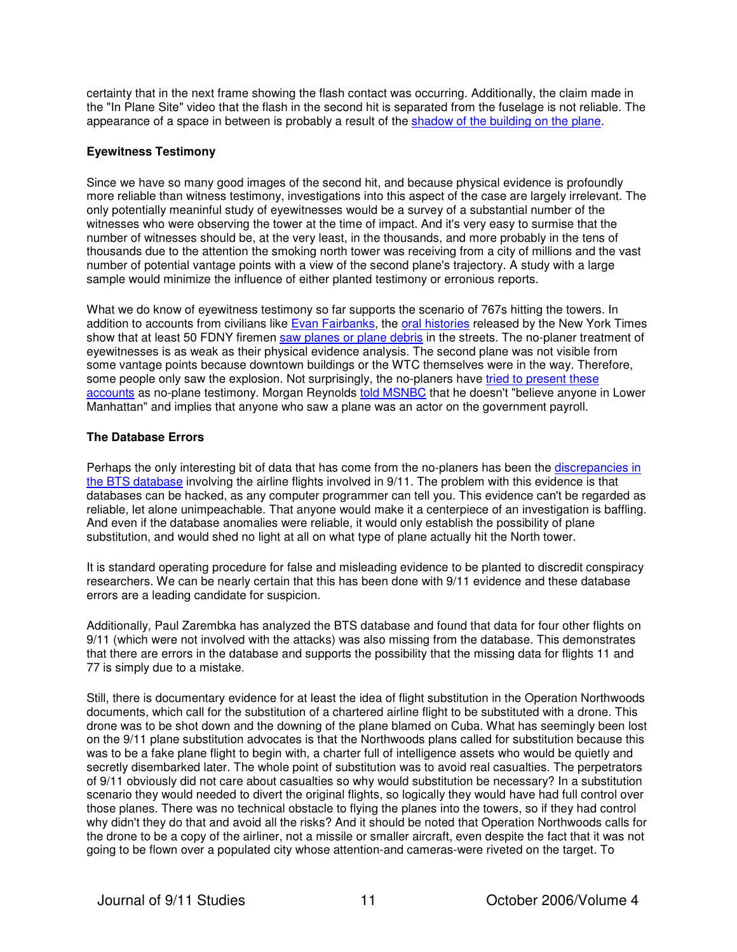certainty that in the next frame showing the flash contact was occurring. Additionally, the claim made in the "In Plane Site" video that the flash in the second hit is separated from the fuselage is not reliable. The appearance of a space in between is probably a result of the [shadow of the building on the plane](http://www.questionsquestions.net/WTC/pod.html#175shadow).

## **Eyewitness Testimony**

Since we have so many good images of the second hit, and because physical evidence is profoundly more reliable than witness testimony, investigations into this aspect of the case are largely irrelevant. The only potentially meaninful study of eyewitnesses would be a survey of a substantial number of the witnesses who were observing the tower at the time of impact. And it's very easy to surmise that the number of witnesses should be, at the very least, in the thousands, and more probably in the tens of thousands due to the attention the smoking north tower was receiving from a city of millions and the vast number of potential vantage points with a view of the second plane's trajectory. A study with a large sample would minimize the influence of either planted testimony or erronious reports.

What we do know of eyewitness testimony so far supports the scenario of 767s hitting the towers. In addition to accounts from civilians like [Evan Fairbanks,](http://www.questionsquestions.net/WTC/767orwhatzit.html#witnesses) the [oral histories](http://graphics8.nytimes.com/packages/html/nyregion/20050812_WTC_GRAPHIC/met_WTC_histories_full_01.html) released by the New York Times show that at least 50 FDNY firemen [saw planes or plane debris](http://www.flcv.com/wtcplane.html) in the streets. The no-planer treatment of eyewitnesses is as weak as their physical evidence analysis. The second plane was not visible from some vantage points because downtown buildings or the WTC themselves were in the way. Therefore, [some people only saw the explosion. Not surprisingly, the no-planers have tried to present these](http://www.questionsquestions.net/WTC/767orwhatzit.html#witnesses)  accounts as no-plane testimony. Morgan Reynolds [told MSNBC](http://www.msnbc.msn.com/id/14723997/page/3/) that he doesn't "believe anyone in Lower Manhattan" and implies that anyone who saw a plane was an actor on the government payroll.

## **The Database Errors**

[Perhaps the only interesting bit of data that has come from the no-planers has been the discrepancies in](http://sept10.1accesshost.com/)  the BTS database involving the airline flights involved in 9/11. The problem with this evidence is that databases can be hacked, as any computer programmer can tell you. This evidence can't be regarded as reliable, let alone unimpeachable. That anyone would make it a centerpiece of an investigation is baffling. And even if the database anomalies were reliable, it would only establish the possibility of plane substitution, and would shed no light at all on what type of plane actually hit the North tower.

It is standard operating procedure for false and misleading evidence to be planted to discredit conspiracy researchers. We can be nearly certain that this has been done with 9/11 evidence and these database errors are a leading candidate for suspicion.

Additionally, Paul Zarembka has analyzed the BTS database and found that data for four other flights on 9/11 (which were not involved with the attacks) was also missing from the database. This demonstrates that there are errors in the database and supports the possibility that the missing data for flights 11 and 77 is simply due to a mistake.

Still, there is documentary evidence for at least the idea of flight substitution in the Operation Northwoods documents, which call for the substitution of a chartered airline flight to be substituted with a drone. This drone was to be shot down and the downing of the plane blamed on Cuba. What has seemingly been lost on the 9/11 plane substitution advocates is that the Northwoods plans called for substitution because this was to be a fake plane flight to begin with, a charter full of intelligence assets who would be quietly and secretly disembarked later. The whole point of substitution was to avoid real casualties. The perpetrators of 9/11 obviously did not care about casualties so why would substitution be necessary? In a substitution scenario they would needed to divert the original flights, so logically they would have had full control over those planes. There was no technical obstacle to flying the planes into the towers, so if they had control why didn't they do that and avoid all the risks? And it should be noted that Operation Northwoods calls for the drone to be a copy of the airliner, not a missile or smaller aircraft, even despite the fact that it was not going to be flown over a populated city whose attention-and cameras-were riveted on the target. To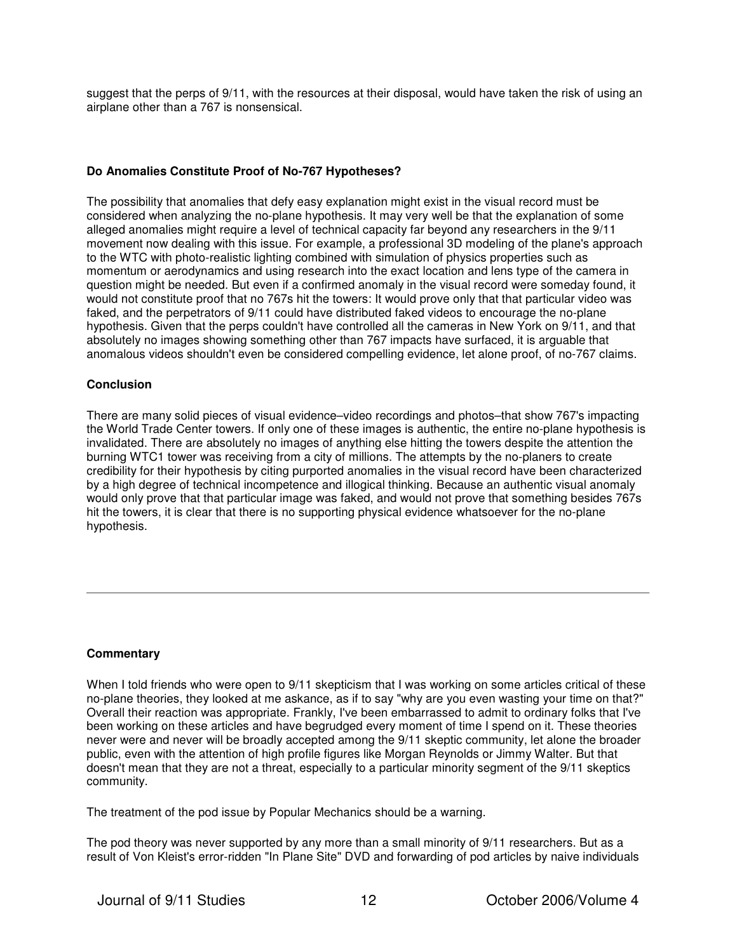suggest that the perps of 9/11, with the resources at their disposal, would have taken the risk of using an airplane other than a 767 is nonsensical.

## **Do Anomalies Constitute Proof of No-767 Hypotheses?**

The possibility that anomalies that defy easy explanation might exist in the visual record must be considered when analyzing the no-plane hypothesis. It may very well be that the explanation of some alleged anomalies might require a level of technical capacity far beyond any researchers in the 9/11 movement now dealing with this issue. For example, a professional 3D modeling of the plane's approach to the WTC with photo-realistic lighting combined with simulation of physics properties such as momentum or aerodynamics and using research into the exact location and lens type of the camera in question might be needed. But even if a confirmed anomaly in the visual record were someday found, it would not constitute proof that no 767s hit the towers: It would prove only that that particular video was faked, and the perpetrators of 9/11 could have distributed faked videos to encourage the no-plane hypothesis. Given that the perps couldn't have controlled all the cameras in New York on 9/11, and that absolutely no images showing something other than 767 impacts have surfaced, it is arguable that anomalous videos shouldn't even be considered compelling evidence, let alone proof, of no-767 claims.

## **Conclusion**

There are many solid pieces of visual evidence–video recordings and photos–that show 767's impacting the World Trade Center towers. If only one of these images is authentic, the entire no-plane hypothesis is invalidated. There are absolutely no images of anything else hitting the towers despite the attention the burning WTC1 tower was receiving from a city of millions. The attempts by the no-planers to create credibility for their hypothesis by citing purported anomalies in the visual record have been characterized by a high degree of technical incompetence and illogical thinking. Because an authentic visual anomaly would only prove that that particular image was faked, and would not prove that something besides 767s hit the towers, it is clear that there is no supporting physical evidence whatsoever for the no-plane hypothesis.

## **Commentary**

When I told friends who were open to 9/11 skepticism that I was working on some articles critical of these no-plane theories, they looked at me askance, as if to say "why are you even wasting your time on that?" Overall their reaction was appropriate. Frankly, I've been embarrassed to admit to ordinary folks that I've been working on these articles and have begrudged every moment of time I spend on it. These theories never were and never will be broadly accepted among the 9/11 skeptic community, let alone the broader public, even with the attention of high profile figures like Morgan Reynolds or Jimmy Walter. But that doesn't mean that they are not a threat, especially to a particular minority segment of the 9/11 skeptics community.

The treatment of the pod issue by Popular Mechanics should be a warning.

The pod theory was never supported by any more than a small minority of 9/11 researchers. But as a result of Von Kleist's error-ridden "In Plane Site" DVD and forwarding of pod articles by naive individuals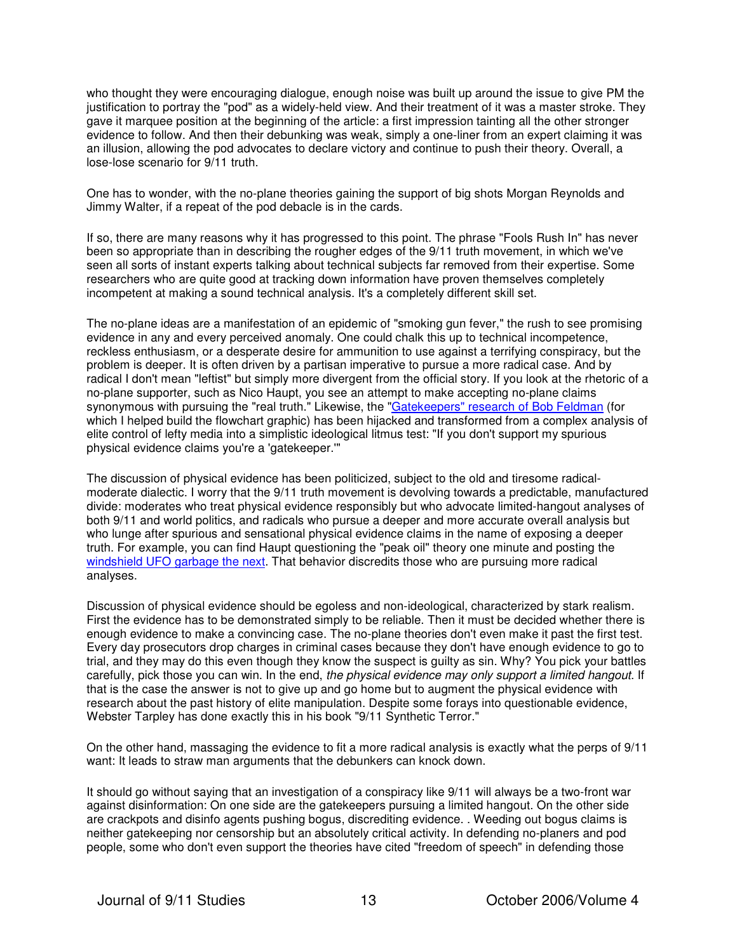who thought they were encouraging dialogue, enough noise was built up around the issue to give PM the justification to portray the "pod" as a widely-held view. And their treatment of it was a master stroke. They gave it marquee position at the beginning of the article: a first impression tainting all the other stronger evidence to follow. And then their debunking was weak, simply a one-liner from an expert claiming it was an illusion, allowing the pod advocates to declare victory and continue to push their theory. Overall, a lose-lose scenario for 9/11 truth.

One has to wonder, with the no-plane theories gaining the support of big shots Morgan Reynolds and Jimmy Walter, if a repeat of the pod debacle is in the cards.

If so, there are many reasons why it has progressed to this point. The phrase "Fools Rush In" has never been so appropriate than in describing the rougher edges of the 9/11 truth movement, in which we've seen all sorts of instant experts talking about technical subjects far removed from their expertise. Some researchers who are quite good at tracking down information have proven themselves completely incompetent at making a sound technical analysis. It's a completely different skill set.

The no-plane ideas are a manifestation of an epidemic of "smoking gun fever," the rush to see promising evidence in any and every perceived anomaly. One could chalk this up to technical incompetence, reckless enthusiasm, or a desperate desire for ammunition to use against a terrifying conspiracy, but the problem is deeper. It is often driven by a partisan imperative to pursue a more radical case. And by radical I don't mean "leftist" but simply more divergent from the official story. If you look at the rhetoric of a no-plane supporter, such as Nico Haupt, you see an attempt to make accepting no-plane claims synonymous with pursuing the "real truth." Likewise, the ["Gatekeepers" research of Bob Feldman](http://www.questionsquestions.net/gatekeepers.html) (for which I helped build the flowchart graphic) has been hijacked and transformed from a complex analysis of elite control of lefty media into a simplistic ideological litmus test: "If you don't support my spurious physical evidence claims you're a 'gatekeeper.'"

The discussion of physical evidence has been politicized, subject to the old and tiresome radicalmoderate dialectic. I worry that the 9/11 truth movement is devolving towards a predictable, manufactured divide: moderates who treat physical evidence responsibly but who advocate limited-hangout analyses of both 9/11 and world politics, and radicals who pursue a deeper and more accurate overall analysis but who lunge after spurious and sensational physical evidence claims in the name of exposing a deeper truth. For example, you can find Haupt questioning the "peak oil" theory one minute and posting the [windshield UFO garbage the next.](http://www.questionsquestions.net/WTC/hauptufo.html) That behavior discredits those who are pursuing more radical analyses.

Discussion of physical evidence should be egoless and non-ideological, characterized by stark realism. First the evidence has to be demonstrated simply to be reliable. Then it must be decided whether there is enough evidence to make a convincing case. The no-plane theories don't even make it past the first test. Every day prosecutors drop charges in criminal cases because they don't have enough evidence to go to trial, and they may do this even though they know the suspect is guilty as sin. Why? You pick your battles carefully, pick those you can win. In the end, the physical evidence may only support a limited hangout. If that is the case the answer is not to give up and go home but to augment the physical evidence with research about the past history of elite manipulation. Despite some forays into questionable evidence, Webster Tarpley has done exactly this in his book "9/11 Synthetic Terror."

On the other hand, massaging the evidence to fit a more radical analysis is exactly what the perps of 9/11 want: It leads to straw man arguments that the debunkers can knock down.

It should go without saying that an investigation of a conspiracy like 9/11 will always be a two-front war against disinformation: On one side are the gatekeepers pursuing a limited hangout. On the other side are crackpots and disinfo agents pushing bogus, discrediting evidence. . Weeding out bogus claims is neither gatekeeping nor censorship but an absolutely critical activity. In defending no-planers and pod people, some who don't even support the theories have cited "freedom of speech" in defending those